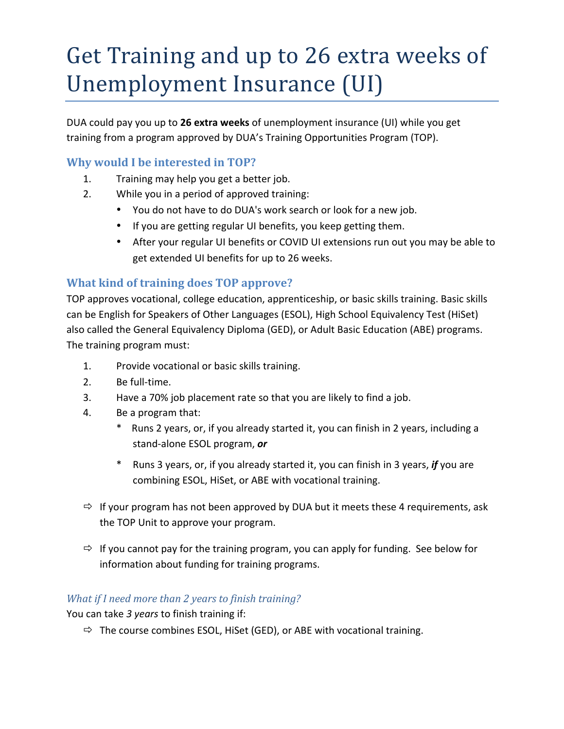# Get Training and up to 26 extra weeks of Unemployment Insurance (UI)

DUA could pay you up to 26 extra weeks of unemployment insurance (UI) while you get training from a program approved by DUA's Training Opportunities Program (TOP).

# **Why would I be interested in TOP?**

- 1. Training may help you get a better job.
- 2. While you in a period of approved training:
	- You do not have to do DUA's work search or look for a new job.
	- If you are getting regular UI benefits, you keep getting them.
	- After your regular UI benefits or COVID UI extensions run out you may be able to get extended UI benefits for up to 26 weeks.

# **What kind of training does TOP approve?**

TOP approves vocational, college education, apprenticeship, or basic skills training. Basic skills can be English for Speakers of Other Languages (ESOL), High School Equivalency Test (HiSet) also called the General Equivalency Diploma (GED), or Adult Basic Education (ABE) programs. The training program must:

- 1. Provide vocational or basic skills training.
- 2. Be full-time.
- 3. Have a 70% job placement rate so that you are likely to find a job.
- 4. Be a program that:
	- \* Runs 2 years, or, if you already started it, you can finish in 2 years, including a stand-alone ESOL program, or
	- Runs 3 years, or, if you already started it, you can finish in 3 years, *if* you are combining ESOL, HiSet, or ABE with vocational training.
- $\Rightarrow$  If your program has not been approved by DUA but it meets these 4 requirements, ask the TOP Unit to approve your program.
- $\Rightarrow$  If you cannot pay for the training program, you can apply for funding. See below for information about funding for training programs.

## *What if I need more than 2 years to finish training?*

You can take 3 years to finish training if:

 $\Rightarrow$  The course combines ESOL, HiSet (GED), or ABE with vocational training.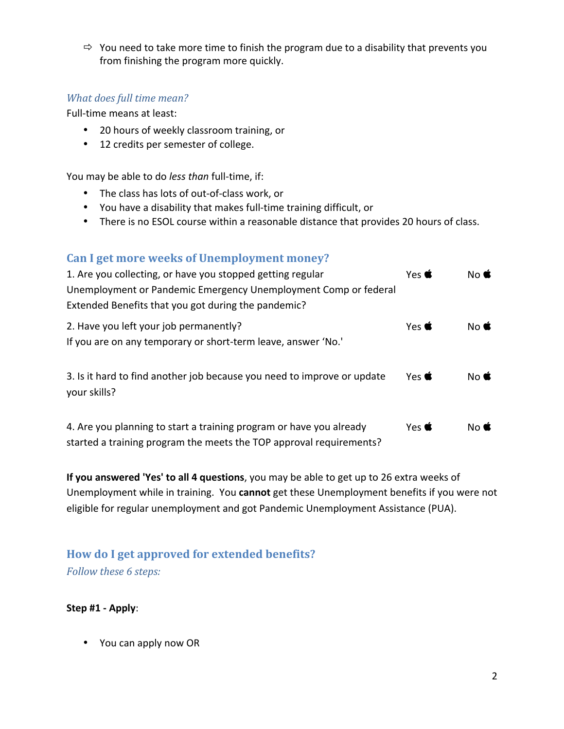$\Rightarrow$  You need to take more time to finish the program due to a disability that prevents you from finishing the program more quickly.

### *What does full time mean?*

Full-time means at least:

- 20 hours of weekly classroom training, or
- 12 credits per semester of college.

You may be able to do *less than* full-time, if:

- The class has lots of out-of-class work, or
- You have a disability that makes full-time training difficult, or
- There is no ESOL course within a reasonable distance that provides 20 hours of class.

## Can I get more weeks of Unemployment money?

| 1. Are you collecting, or have you stopped getting regular<br>Unemployment or Pandemic Emergency Unemployment Comp or federal<br>Extended Benefits that you got during the pandemic? | Yes $\bullet$       | $No \,$     |
|--------------------------------------------------------------------------------------------------------------------------------------------------------------------------------------|---------------------|-------------|
| 2. Have you left your job permanently?<br>If you are on any temporary or short-term leave, answer 'No.'                                                                              | Yes $\triangleleft$ | $No \oplus$ |
| 3. Is it hard to find another job because you need to improve or update<br>your skills?                                                                                              | Yes $\bullet$       | $No \oplus$ |
| 4. Are you planning to start a training program or have you already<br>started a training program the meets the TOP approval requirements?                                           | Yes $\triangleleft$ | $No \oplus$ |

**If you answered 'Yes' to all 4 questions**, you may be able to get up to 26 extra weeks of Unemployment while in training. You cannot get these Unemployment benefits if you were not eligible for regular unemployment and got Pandemic Unemployment Assistance (PUA).

# How do I get approved for extended benefits? *Follow these 6 steps:*

#### **Step #1 - Apply**:

• You can apply now OR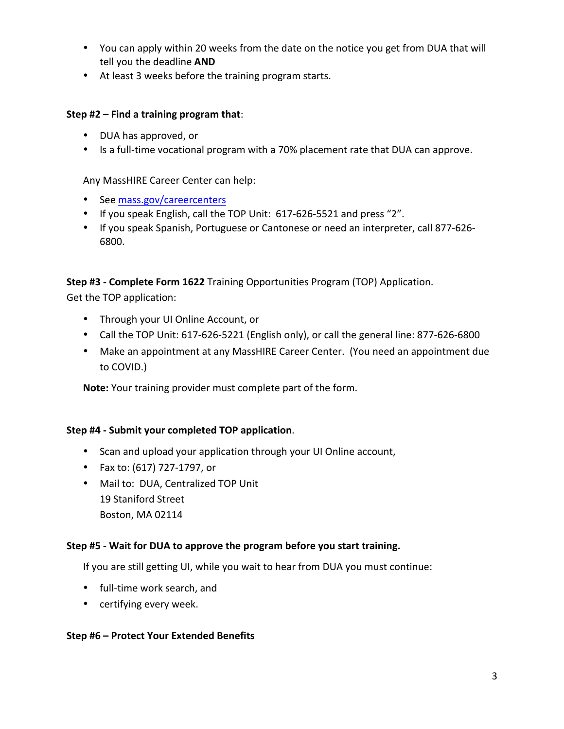- You can apply within 20 weeks from the date on the notice you get from DUA that will tell you the deadline **AND**
- At least 3 weeks before the training program starts.

#### **Step #2 – Find a training program that:**

- DUA has approved, or
- Is a full-time vocational program with a 70% placement rate that DUA can approve.

Any MassHIRE Career Center can help:

- See mass.gov/careercenters
- If you speak English, call the TOP Unit: 617-626-5521 and press "2".
- If you speak Spanish, Portuguese or Cantonese or need an interpreter, call 877-626-6800.

**Step #3 - Complete Form 1622** Training Opportunities Program (TOP) Application.

Get the TOP application:

- Through your UI Online Account, or
- Call the TOP Unit: 617-626-5221 (English only), or call the general line: 877-626-6800
- Make an appointment at any MassHIRE Career Center. (You need an appointment due to COVID.)

**Note:** Your training provider must complete part of the form.

#### **Step #4 - Submit your completed TOP application**.

- Scan and upload your application through your UI Online account,
- Fax to:  $(617)$  727-1797, or
- Mail to: DUA, Centralized TOP Unit 19 Staniford Street Boston, MA 02114

#### **Step #5** - Wait for DUA to approve the program before you start training.

If you are still getting UI, while you wait to hear from DUA you must continue:

- full-time work search, and
- certifying every week.

#### **Step #6 – Protect Your Extended Benefits**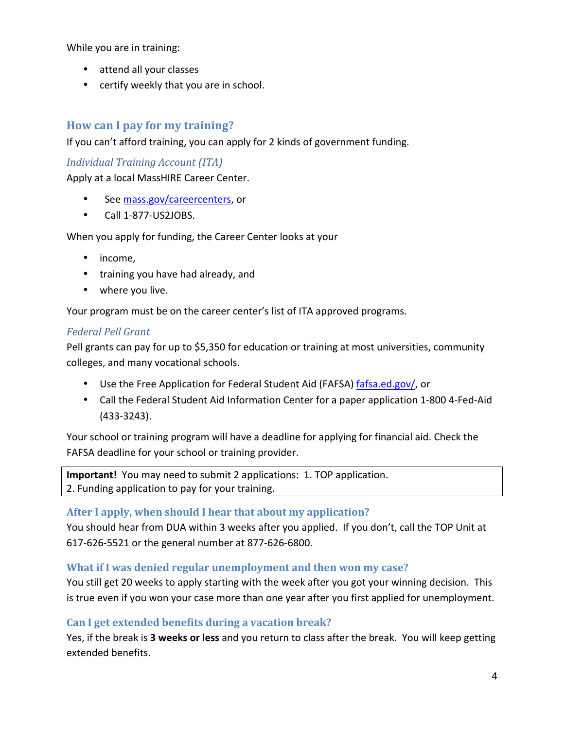While you are in training:

- attend all your classes
- certify weekly that you are in school.

# **How can I pay for my training?**

If you can't afford training, you can apply for 2 kinds of government funding.

## *Individual Training Account (ITA)*

Apply at a local MassHIRE Career Center.

- See mass.gov/careercenters, or
- Call 1-877-US2JOBS.

When you apply for funding, the Career Center looks at your

- income,
- training you have had already, and
- where you live.

Your program must be on the career center's list of ITA approved programs.

## *Federal Pell Grant*

Pell grants can pay for up to \$5,350 for education or training at most universities, community colleges, and many vocational schools.

- Use the Free Application for Federal Student Aid (FAFSA) fafsa.ed.gov/, or
- Call the Federal Student Aid Information Center for a paper application 1-800 4-Fed-Aid (433-3243).

Your school or training program will have a deadline for applying for financial aid. Check the FAFSA deadline for your school or training provider.

**Important!** You may need to submit 2 applications: 1. TOP application. 2. Funding application to pay for your training.

## After I apply, when should I hear that about my application?

You should hear from DUA within 3 weeks after you applied. If you don't, call the TOP Unit at 617-626-5521 or the general number at 877-626-6800.

## **What if I was denied regular unemployment and then won my case?**

You still get 20 weeks to apply starting with the week after you got your winning decision. This is true even if you won your case more than one year after you first applied for unemployment.

## Can I get extended benefits during a vacation break?

Yes, if the break is 3 weeks or less and you return to class after the break. You will keep getting extended benefits.